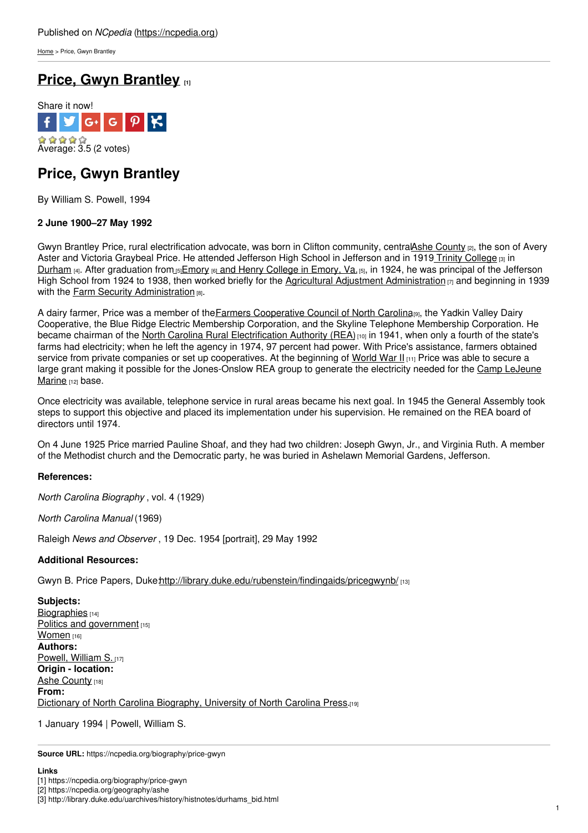[Home](https://ncpedia.org/) > Price, Gwyn Brantley

# **Price, Gwyn [Brantley](https://ncpedia.org/biography/price-gwyn) [1]**



## **Price, Gwyn Brantley**

By William S. Powell, 1994

### **2 June 1900–27 May 1992**

Gwyn Brantley Price, rural electrification advocate, was born in Clifton community, centralAshe [County](https://ncpedia.org/geography/ashe) [2], the son of Avery Aster and Victoria Graybeal Price. He attended [Jefferson](http://www.social9.com) High School in Jefferson and in 1919 Trinity [College](http://library.duke.edu/uarchives/history/histnotes/durhams_bid.html)  $\alpha$  in [Durham](https://ncpedia.org/geography/durham-city) [4]. After graduation fro[m](http://www.ehc.edu/)  $_{15}$  [Emory](http://www.emory.edu/) [6] and Henry [College](http://www.ehc.edu/) in Emory, Va. [5], in 1924, he was principal of the Jefferson High School from 1924 to 1938, then worked briefly for the Agricultural Adjustment [Administration](http://www.livinghistoryfarm.org/farminginthe30s/water_11.html)  $\eta$  and beginning in 1939 with the Farm Security [Administration](http://memory.loc.gov/ammem/fsahtml/fsainfo.html) [8].

A dairy farmer, Price was a member of the Farmers [Cooperative](http://www.ccnc.coop/) Council of North Carolina<sub>[9]</sub>, the Yadkin Valley Dairy Cooperative, the Blue Ridge Electric Membership Corporation, and the Skyline Telephone Membership Corporation. He became chairman of the North Carolina Rural [Electrification](http://www.ncrea.net/) Authority (REA)<sub>[10]</sub> in 1941, when only a fourth of the state's farms had electricity; when he left the agency in 1974, 97 percent had power. With Price's assistance, farmers obtained service from private companies or set up cooperatives. At the beginning of [World](https://ncpedia.org/history/20th-Century/wwii) War II [11] Price was able to secure a large grant making it possible for the [Jones-Onslow](https://ncpedia.org/history/20th-Century/wwii-construction) REA group to generate the electricity needed for the Camp LeJeune Marine [12] base.

Once electricity was available, telephone service in rural areas became his next goal. In 1945 the General Assembly took steps to support this objective and placed its implementation under his supervision. He remained on the REA board of directors until 1974.

On 4 June 1925 Price married Pauline Shoaf, and they had two children: Joseph Gwyn, Jr., and Virginia Ruth. A member of the Methodist church and the Democratic party, he was buried in Ashelawn Memorial Gardens, Jefferson.

### **References:**

*North Carolina Biography* , vol. 4 (1929)

*North Carolina Manual* (1969)

Raleigh *News and Observer* , 19 Dec. 1954 [portrait], 29 May 1992

### **Additional Resources:**

Gwyn B. Price Papers, Duke.http://library.duke.edu/rubenstein/findingaids/pricegwynb/ [13]

**Subjects:** [Biographies](https://ncpedia.org/category/subjects/biography-term) [14] Politics and [government](https://ncpedia.org/category/subjects/politics-and-gove) [15] [Women](https://ncpedia.org/category/subjects/women) [16] **Authors:** [Powell,](https://ncpedia.org/category/authors/powell-william-s-0) William S. [17] **Origin - location:** Ashe [County](https://ncpedia.org/category/origin-location/mountai-20) [18] **From:** Dictionary of North Carolina [Biography,](https://ncpedia.org/category/entry-source/dictionary-no) University of North Carolina Press.[19]

1 January 1994 | Powell, William S.

**Source URL:** https://ncpedia.org/biography/price-gwyn

#### **Links**

[2] https://ncpedia.org/geography/ashe

[3] http://library.duke.edu/uarchives/history/histnotes/durhams\_bid.html

<sup>[1]</sup> https://ncpedia.org/biography/price-gwyn